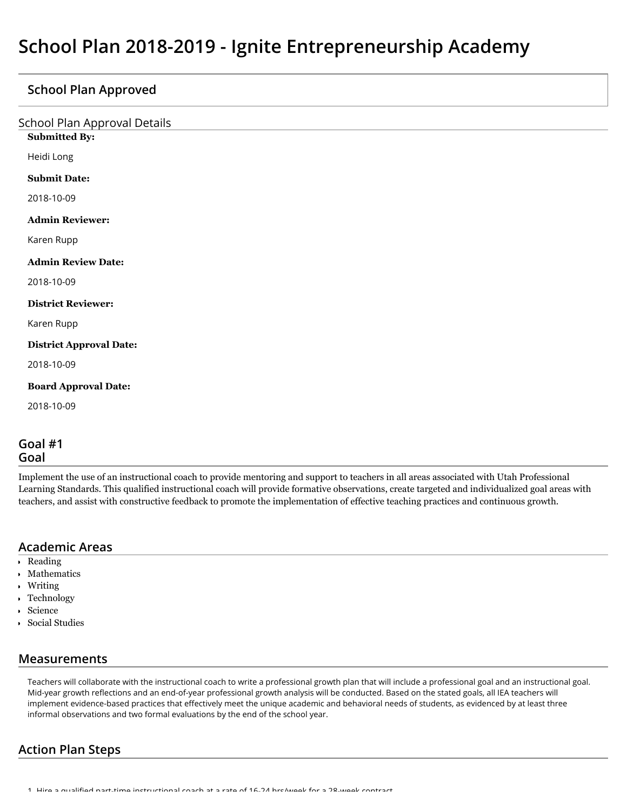## **School Plan Approved**

| <b>School Plan Approval Details</b><br><b>Submitted By:</b> |
|-------------------------------------------------------------|
| Heidi Long                                                  |
| <b>Submit Date:</b>                                         |
| 2018-10-09                                                  |
| <b>Admin Reviewer:</b>                                      |
| Karen Rupp                                                  |
| <b>Admin Review Date:</b>                                   |
| 2018-10-09                                                  |
| <b>District Reviewer:</b>                                   |
| Karen Rupp                                                  |
| <b>District Approval Date:</b>                              |
| 2018-10-09                                                  |
| <b>Board Approval Date:</b>                                 |
| 2018-10-09                                                  |
|                                                             |

### **Goal #1 Goal**

Implement the use of an instructional coach to provide mentoring and support to teachers in all areas associated with Utah Professional Learning Standards. This qualified instructional coach will provide formative observations, create targeted and individualized goal areas with teachers, and assist with constructive feedback to promote the implementation of effective teaching practices and continuous growth.

### **Academic Areas**

- Reading
- Mathematics
- Writing
- Technology
- Science
- Social Studies

## **Measurements**

Teachers will collaborate with the instructional coach to write a professional growth plan that will include a professional goal and an instructional goal. Mid-year growth reflections and an end-of-year professional growth analysis will be conducted. Based on the stated goals, all IEA teachers will implement evidence-based practices that effectively meet the unique academic and behavioral needs of students, as evidenced by at least three informal observations and two formal evaluations by the end of the school year.

# **Action Plan Steps**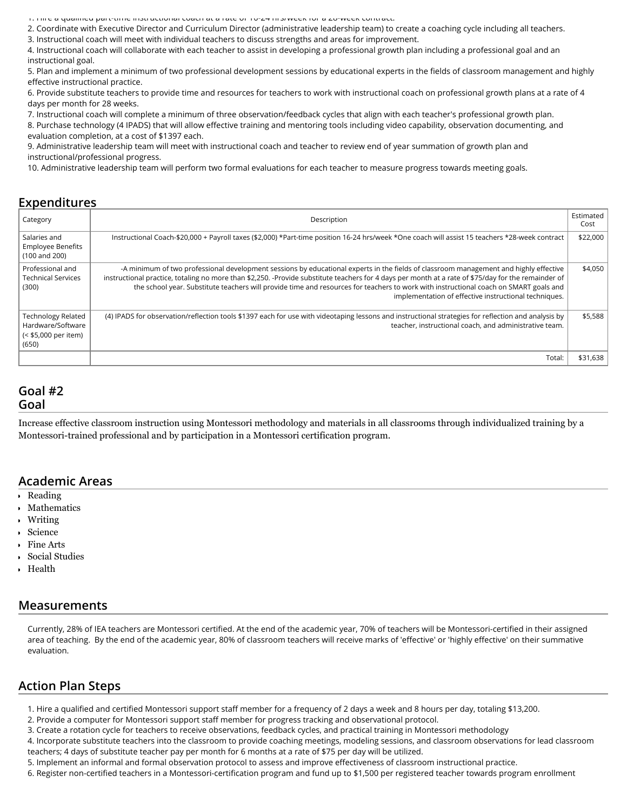1. Hire a qualied part-time instructional coach at a rate of 16-24 hrs/week for a 28-week contract.

2. Coordinate with Executive Director and Curriculum Director (administrative leadership team) to create a coaching cycle including all teachers.

3. Instructional coach will meet with individual teachers to discuss strengths and areas for improvement.

4. Instructional coach will collaborate with each teacher to assist in developing a professional growth plan including a professional goal and an instructional goal.

5. Plan and implement a minimum of two professional development sessions by educational experts in the fields of classroom management and highly effective instructional practice.

6. Provide substitute teachers to provide time and resources for teachers to work with instructional coach on professional growth plans at a rate of 4 days per month for 28 weeks.

7. Instructional coach will complete a minimum of three observation/feedback cycles that align with each teacher's professional growth plan.

8. Purchase technology (4 IPADS) that will allow effective training and mentoring tools including video capability, observation documenting, and evaluation completion, at a cost of \$1397 each.

9. Administrative leadership team will meet with instructional coach and teacher to review end of year summation of growth plan and instructional/professional progress.

10. Administrative leadership team will perform two formal evaluations for each teacher to measure progress towards meeting goals.

#### **Expenditures**

| Category                                                                        | Description                                                                                                                                                                                                                                                                                                                                                                                                                                                                                    | Estimated<br>Cost |
|---------------------------------------------------------------------------------|------------------------------------------------------------------------------------------------------------------------------------------------------------------------------------------------------------------------------------------------------------------------------------------------------------------------------------------------------------------------------------------------------------------------------------------------------------------------------------------------|-------------------|
| Salaries and<br><b>Employee Benefits</b><br>(100 and 200)                       | Instructional Coach-\$20,000 + Payroll taxes (\$2,000) *Part-time position 16-24 hrs/week *One coach will assist 15 teachers *28-week contract                                                                                                                                                                                                                                                                                                                                                 | \$22,000          |
| Professional and<br><b>Technical Services</b><br>(300)                          | -A minimum of two professional development sessions by educational experts in the fields of classroom management and highly effective<br>instructional practice, totaling no more than \$2,250. -Provide substitute teachers for 4 days per month at a rate of \$75/day for the remainder of<br>the school year. Substitute teachers will provide time and resources for teachers to work with instructional coach on SMART goals and<br>implementation of effective instructional techniques. | \$4,050           |
| <b>Technology Related</b><br>Hardware/Software<br>(< \$5,000 per item)<br>(650) | (4) IPADS for observation/reflection tools \$1397 each for use with videotaping lessons and instructional strategies for reflection and analysis by<br>teacher, instructional coach, and administrative team.                                                                                                                                                                                                                                                                                  | \$5,588           |
|                                                                                 | Total:                                                                                                                                                                                                                                                                                                                                                                                                                                                                                         | \$31,638          |

#### **Goal #2 Goal**

Increase effective classroom instruction using Montessori methodology and materials in all classrooms through individualized training by a Montessori-trained professional and by participation in a Montessori certification program.

#### **Academic Areas**

- Reading
- Mathematics
- Writing
- Science
- Fine Arts
- Social Studies
- Health

#### **Measurements**

Currently, 28% of IEA teachers are Montessori certified. At the end of the academic year, 70% of teachers will be Montessori-certified in their assigned area of teaching. By the end of the academic year, 80% of classroom teachers will receive marks of 'effective' or 'highly effective' on their summative evaluation.

## **Action Plan Steps**

- 1. Hire a qualified and certified Montessori support staff member for a frequency of 2 days a week and 8 hours per day, totaling \$13,200.
- 2. Provide a computer for Montessori support staff member for progress tracking and observational protocol.
- 3. Create a rotation cycle for teachers to receive observations, feedback cycles, and practical training in Montessori methodology

4. Incorporate substitute teachers into the classroom to provide coaching meetings, modeling sessions, and classroom observations for lead classroom teachers; 4 days of substitute teacher pay per month for 6 months at a rate of \$75 per day will be utilized.

5. Implement an informal and formal observation protocol to assess and improve effectiveness of classroom instructional practice.

6. Register non-certified teachers in a Montessori-certification program and fund up to \$1,500 per registered teacher towards program enrollment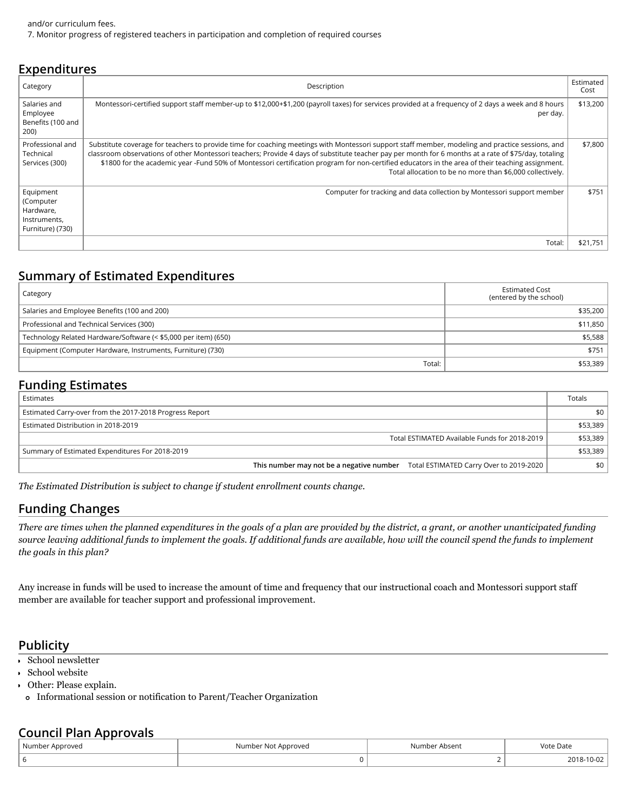| <b>EXPETIQILUI ES</b>                                                   |                                                                                                                                                                                                                                                                                                                                                                                                                                                                                                                           |                   |  |  |  |
|-------------------------------------------------------------------------|---------------------------------------------------------------------------------------------------------------------------------------------------------------------------------------------------------------------------------------------------------------------------------------------------------------------------------------------------------------------------------------------------------------------------------------------------------------------------------------------------------------------------|-------------------|--|--|--|
| Category                                                                | Description                                                                                                                                                                                                                                                                                                                                                                                                                                                                                                               | Estimated<br>Cost |  |  |  |
| Salaries and<br>Employee<br>Benefits (100 and<br>200)                   | Montessori-certified support staff member-up to \$12,000+\$1,200 (payroll taxes) for services provided at a frequency of 2 days a week and 8 hours<br>per day.                                                                                                                                                                                                                                                                                                                                                            | \$13,200          |  |  |  |
| Professional and<br>Technical<br>Services (300)                         | Substitute coverage for teachers to provide time for coaching meetings with Montessori support staff member, modeling and practice sessions, and<br>classroom observations of other Montessori teachers; Provide 4 days of substitute teacher pay per month for 6 months at a rate of \$75/day, totaling<br>\$1800 for the academic year -Fund 50% of Montessori certification program for non-certified educators in the area of their teaching assignment.<br>Total allocation to be no more than \$6,000 collectively. | \$7,800           |  |  |  |
| Equipment<br>(Computer<br>Hardware,<br>Instruments,<br>Furniture) (730) | Computer for tracking and data collection by Montessori support member                                                                                                                                                                                                                                                                                                                                                                                                                                                    | \$751             |  |  |  |
|                                                                         | Total:                                                                                                                                                                                                                                                                                                                                                                                                                                                                                                                    | \$21,751          |  |  |  |

# **Summary of Estimated Expenditures**

| Category                                                        | <b>Estimated Cost</b><br>(entered by the school) |
|-----------------------------------------------------------------|--------------------------------------------------|
| Salaries and Employee Benefits (100 and 200)                    | \$35,200                                         |
| Professional and Technical Services (300)                       | \$11,850                                         |
| Technology Related Hardware/Software (< \$5,000 per item) (650) | \$5,588                                          |
| Equipment (Computer Hardware, Instruments, Furniture) (730)     | \$751                                            |
| Total:                                                          | \$53,389                                         |

# **Funding Estimates**

**Expenditures**

| Estimates                                                                        | Totals   |
|----------------------------------------------------------------------------------|----------|
| Estimated Carry-over from the 2017-2018 Progress Report                          | \$0∣     |
| Estimated Distribution in 2018-2019                                              | \$53,389 |
| Total ESTIMATED Available Funds for 2018-2019                                    | \$53,389 |
| Summary of Estimated Expenditures For 2018-2019                                  | \$53,389 |
| This number may not be a negative number Total ESTIMATED Carry Over to 2019-2020 | \$0      |

*The Estimated Distribution is subject to change if student enrollment counts change.*

# **Funding Changes**

*There are times when the planned expenditures in the goals of a plan are provided by the district, a grant, or another unanticipated funding source leaving additional funds to implement the goals. If additional funds are available, how will the council spend the funds to implement the goals in this plan?*

Any increase in funds will be used to increase the amount of time and frequency that our instructional coach and Montessori support staff member are available for teacher support and professional improvement.

# **Publicity**

- School newsletter
- School website
- Other: Please explain.
	- Informational session or notification to Parent/Teacher Organization

## **Council Plan Approvals**

| Number Approved | Number Not Approved | Number Absent | Vote Date |  |
|-----------------|---------------------|---------------|-----------|--|
|                 |                     |               |           |  |